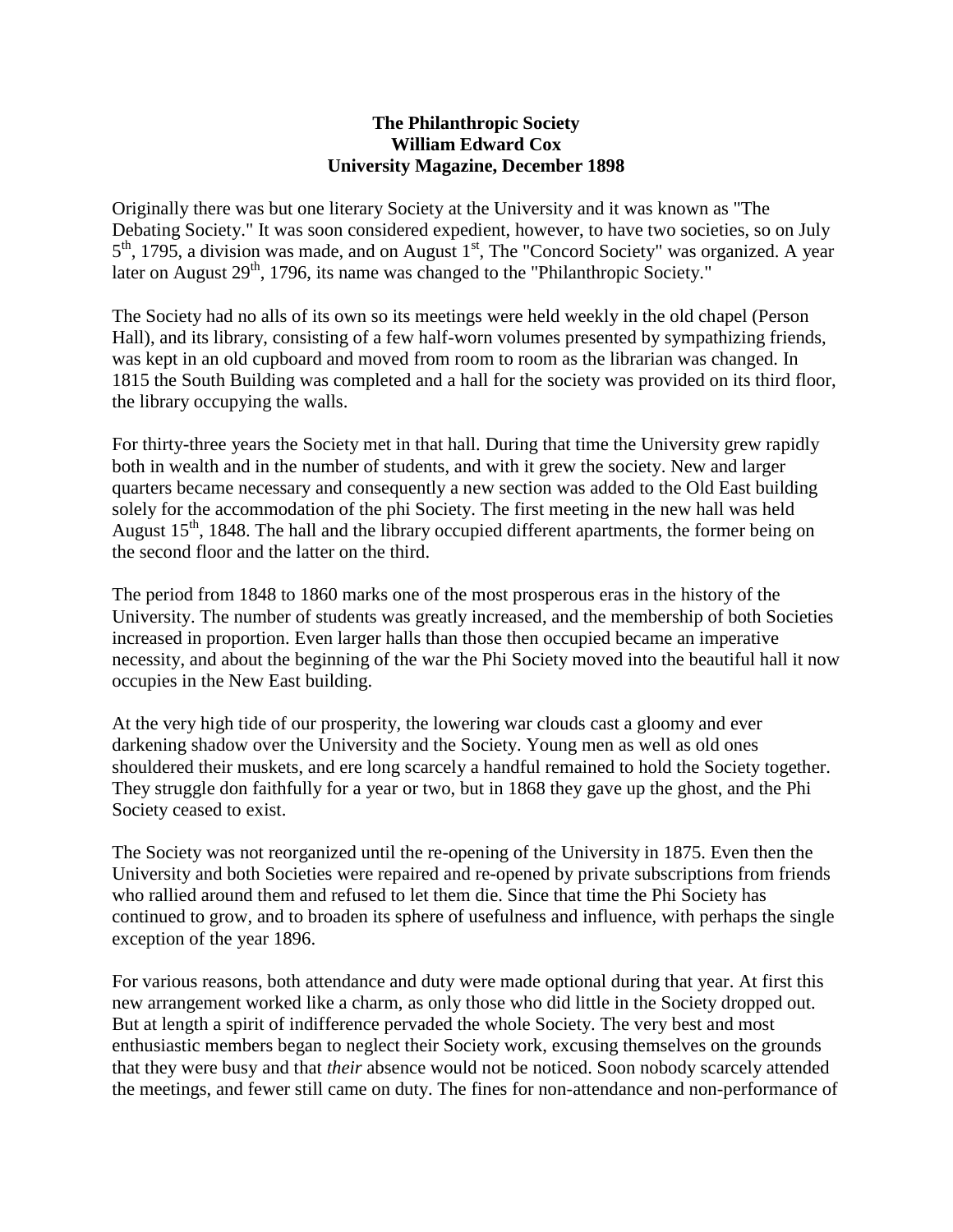## **The Philanthropic Society William Edward Cox University Magazine, December 1898**

Originally there was but one literary Society at the University and it was known as "The Debating Society." It was soon considered expedient, however, to have two societies, so on July 5<sup>th</sup>, 1795, a division was made, and on August 1<sup>st</sup>, The "Concord Society" was organized. A year later on August 29<sup>th</sup>, 1796, its name was changed to the "Philanthropic Society."

The Society had no alls of its own so its meetings were held weekly in the old chapel (Person Hall), and its library, consisting of a few half-worn volumes presented by sympathizing friends, was kept in an old cupboard and moved from room to room as the librarian was changed. In 1815 the South Building was completed and a hall for the society was provided on its third floor, the library occupying the walls.

For thirty-three years the Society met in that hall. During that time the University grew rapidly both in wealth and in the number of students, and with it grew the society. New and larger quarters became necessary and consequently a new section was added to the Old East building solely for the accommodation of the phi Society. The first meeting in the new hall was held August 15<sup>th</sup>, 1848. The hall and the library occupied different apartments, the former being on the second floor and the latter on the third.

The period from 1848 to 1860 marks one of the most prosperous eras in the history of the University. The number of students was greatly increased, and the membership of both Societies increased in proportion. Even larger halls than those then occupied became an imperative necessity, and about the beginning of the war the Phi Society moved into the beautiful hall it now occupies in the New East building.

At the very high tide of our prosperity, the lowering war clouds cast a gloomy and ever darkening shadow over the University and the Society. Young men as well as old ones shouldered their muskets, and ere long scarcely a handful remained to hold the Society together. They struggle don faithfully for a year or two, but in 1868 they gave up the ghost, and the Phi Society ceased to exist.

The Society was not reorganized until the re-opening of the University in 1875. Even then the University and both Societies were repaired and re-opened by private subscriptions from friends who rallied around them and refused to let them die. Since that time the Phi Society has continued to grow, and to broaden its sphere of usefulness and influence, with perhaps the single exception of the year 1896.

For various reasons, both attendance and duty were made optional during that year. At first this new arrangement worked like a charm, as only those who did little in the Society dropped out. But at length a spirit of indifference pervaded the whole Society. The very best and most enthusiastic members began to neglect their Society work, excusing themselves on the grounds that they were busy and that *their* absence would not be noticed. Soon nobody scarcely attended the meetings, and fewer still came on duty. The fines for non-attendance and non-performance of